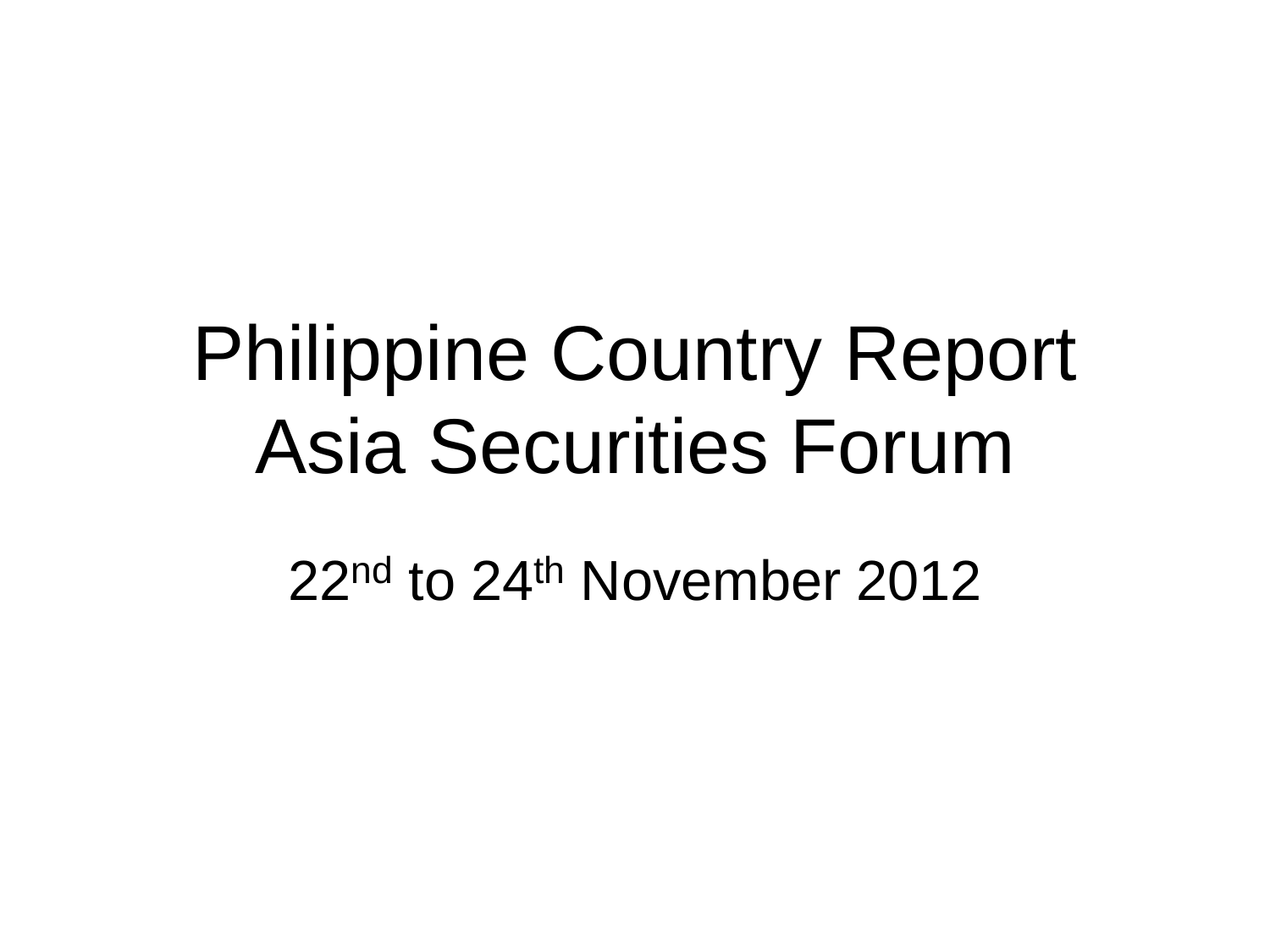# Philippine Country Report Asia Securities Forum

22<sup>nd</sup> to 24<sup>th</sup> November 2012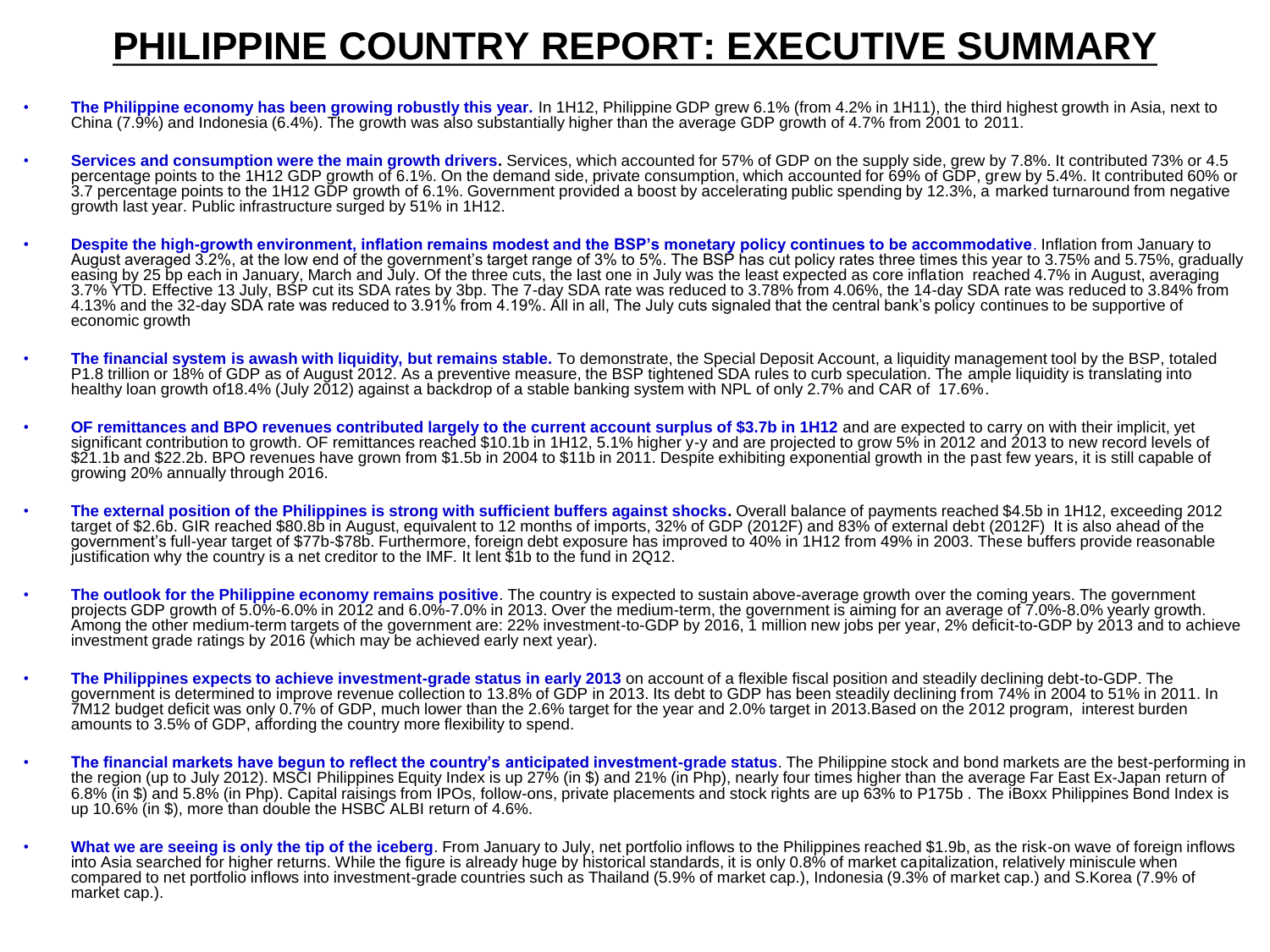#### **PHILIPPINE COUNTRY REPORT: EXECUTIVE SUMMARY**

- **The Philippine economy has been growing robustly this year.** In 1H12, Philippine GDP grew 6.1% (from 4.2% in 1H11), the third highest growth in Asia, next to China (7.9%) and Indonesia (6.4%). The growth was also substantially higher than the average GDP growth of 4.7% from 2001 to 2011.
- **Services and consumption were the main growth drivers.** Services, which accounted for 57% of GDP on the supply side, grew by 7.8%, It contributed 73% or 4.5 percentage points to the 1H12 GDP growth of 6.1%. On the demand side, private consumption, which accounted for 69% of GDP, grew by 5.4%. It contributed 60% or 3.7 percentage points to the 1H12 GDP growth of 6.1%. Government provided a boost by accelerating public spending by 12.3%, a marked turnaround from negative growth last year. Public infrastructure surged by 51% in 1H12.
- **Despite the high-growth environment, inflation remains modest and the BSP's monetary policy continues to be accommodative**. Inflation from January to August averaged 3.2%, at the low end of the government's target range of 3% to 5%. The BSP has cut policy rates three times this year to 3.75% and 5.75%, gradually easing by 25 bp each in January, March and July. Of the three cuts, the last one in July was the least expected as core inflation reached 4.7% in August, averaging 3.7% YTD. Effective 13 July, BSP cut its SDA rates by 3bp. The 7-day SDA rate was reduced to 3.78% from 4.06%, the 14-day SDA rate was reduced to 3.84% from 4.13% and the 32-day SDA rate was reduced to 3.91% from 4.19%. All in all, The July cuts signaled that the central bank's policy continues to be supportive of economic growth
- **The financial system is awash with liquidity, but remains stable.** To demonstrate, the Special Deposit Account, a liquidity management tool by the BSP, totaled P1.8 trillion or 18% of GDP as of August 2012. As a preventive measure, the BSP tightened SDA rules to curb speculation. The ample liquidity is translating into healthy loan growth of18.4% (July 2012) against a backdrop of a stable banking system with NPL of only 2.7% and CAR of 17.6%.
- **OF remittances and BPO revenues contributed largely to the current account surplus of \$3.7b in 1H12** and are expected to carry on with their implicit, yet significant contribution to growth. OF remittances reached \$10.1b in 1H12, 5.1% higher y-y and are projected to grow 5% in 2012 and 2013 to new record levels of \$21.1b and \$22.2b. BPO revenues have grown from \$1.5b in 2004 to \$11b in 2011. Despite exhibiting exponential growth in the past few years, it is still capable of growing 20% annually through 2016.
- **The external position of the Philippines is strong with sufficient buffers against shocks.** Overall balance of payments reached \$4.5b in 1H12, exceeding 2012 target of \$2.6b. GIR reached \$80.8b in August, equivalent to 12 months of imports, 32% of GDP (2012F) and 83% of external debt (2012F) It is also ahead of the government's full-year target of \$77b-\$78b. Furthermore, foreign debt exposure has improved to 40% in 1H12 from 49% in 2003. These buffers provide reasonable justification why the country is a net creditor to the IMF. It lent \$1b to the fund in 2Q12.
- **The outlook for the Philippine economy remains positive**. The country is expected to sustain above-average growth over the coming years. The government projects GDP growth of 5.0%-6.0% in 2012 and 6.0%-7.0% in 2013. Over the medium-term, the government is aiming for an average of 7.0%-8.0% yearly growth. Among the other medium-term targets of the government are: 22% investment-to-GDP by 2016, 1 million new jobs per year, 2% deficit-to-GDP by 2013 and to achieve investment grade ratings by 2016 (which may be achieved early next year).
- **The Philippines expects to achieve investment-grade status in early 2013** on account of a flexible fiscal position and steadily declining debt-to-GDP. The government is determined to improve revenue collection to 13.8% of GDP in 2013. Its debt to GDP has been steadily declining from 74% in 2004 to 51% in 2011. In 7M12 budget deficit was only 0.7% of GDP, much lower than the 2.6% target for the year and 2.0% target in 2013.Based on the 2012 program, interest burden amounts to 3.5% of GDP, affording the country more flexibility to spend.
- **The financial markets have begun to reflect the country's anticipated investment-grade status**. The Philippine stock and bond markets are the best-performing in the region (up to July 2012). MSCI Philippines Equity Index is up 27% (in \$) and 21% (in Php), nearly four times higher than the average Far East Ex-Japan return of 6.8% (in \$) and 5.8% (in Php). Capital raisings from IPOs, follow-ons, private placements and stock rights are up 63% to P175b . The iBoxx Philippines Bond Index is up 10.6% (in \$), more than double the HSBC ALBI return of 4.6%.
- **What we are seeing is only the tip of the iceberg**. From January to July, net portfolio inflows to the Philippines reached \$1.9b, as the risk-on wave of foreign inflows into Asia searched for higher returns. While the figure is already huge by historical standards, it is only 0.8% of market capitalization, relatively miniscule when compared to net portfolio inflows into investment-grade countries such as Thailand (5.9% of market cap.), Indonesia (9.3% of market cap.) and S.Korea (7.9% of market cap.).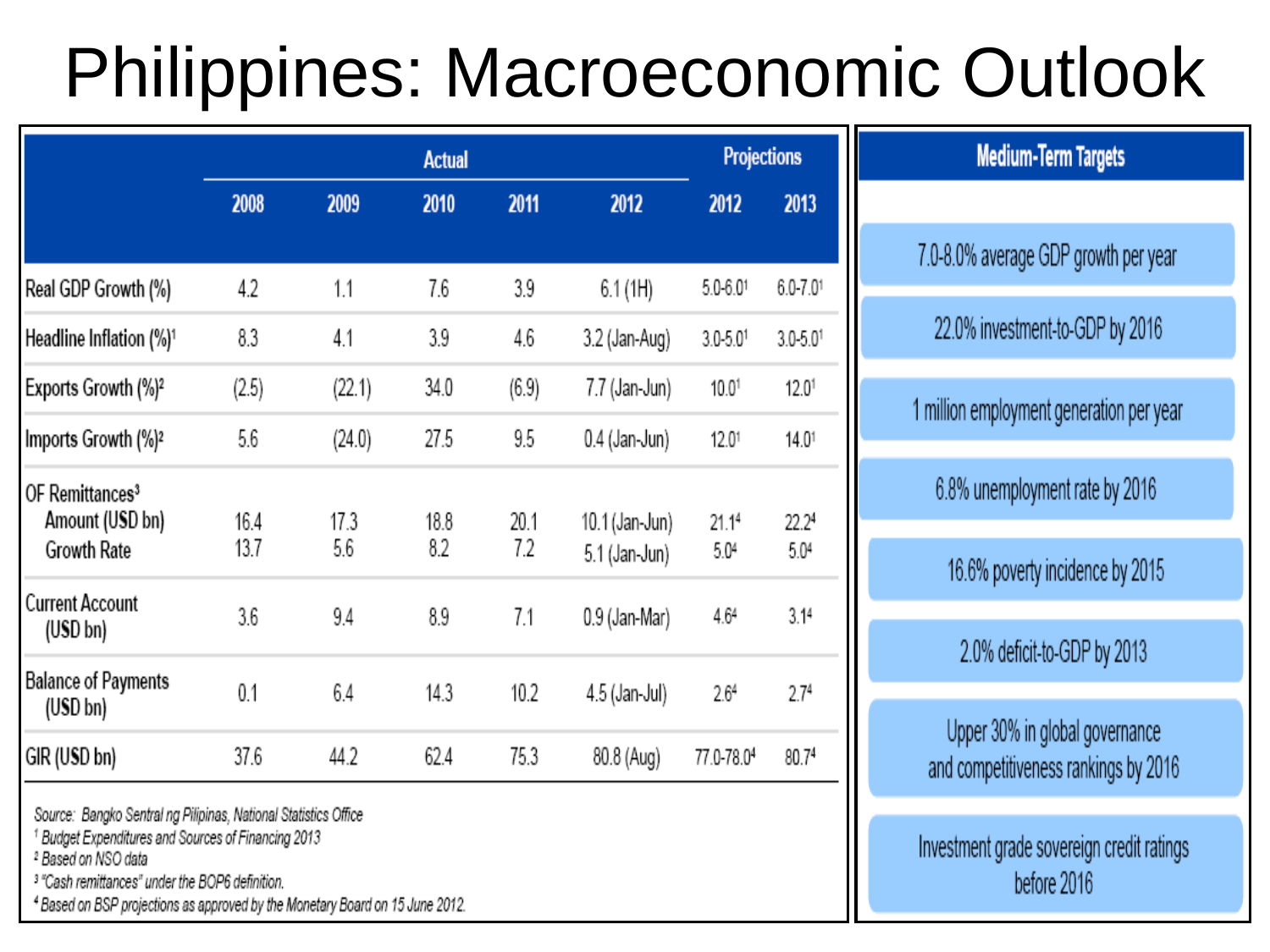# Philippines: Macroeconomic Outlook

|                                                                      |              |             | <b>Actual</b> |             |                                 | <b>Projections</b>       |                          |
|----------------------------------------------------------------------|--------------|-------------|---------------|-------------|---------------------------------|--------------------------|--------------------------|
|                                                                      | 2008         | 2009        | 2010          | 2011        | 2012                            | 2012                     | 2013                     |
| Real GDP Growth (%)                                                  | 4.2          | 1.1         | 7.6           | 3.9         | 6.1(1H)                         | $5.0 - 6.01$             | $6.0 - 7.01$             |
| Headline Inflation (%) <sup>1</sup>                                  | 8.3          | 4.1         | 3.9           | 4.6         | 3.2 (Jan-Aug)                   | $3.0 - 5.0$ <sup>1</sup> | $3.0 - 5.0$ <sup>1</sup> |
| Exports Growth (%) <sup>2</sup>                                      | (2.5)        | (22.1)      | 34.0          | (6.9)       | 7.7 (Jan-Jun)                   | 10.01                    | 12.0 <sup>1</sup>        |
| Imports Growth (%) <sup>2</sup>                                      | 5.6          | (24.0)      | 27.5          | 9.5         | 0.4 (Jan-Jun)                   | 12.01                    | 14.01                    |
| OF Remittances <sup>3</sup><br>Amount (USD bn)<br><b>Growth Rate</b> | 16.4<br>13.7 | 17.3<br>5.6 | 18.8<br>8.2   | 20.1<br>7.2 | 10.1 (Jan-Jun)<br>5.1 (Jan-Jun) | 21.14<br>5.04            | 22.24<br>5.04            |
| <b>Current Account</b><br>$(USD $ bn $)$                             | 3.6          | 9.4         | 8.9           | 7.1         | 0.9 (Jan-Mar)                   | 4.64                     | 3.14                     |
| <b>Balance of Payments</b><br>(USD bh)                               | 0.1          | 6.4         | 14.3          | 10.2        | 4.5 (Jan-Jul)                   | 2.64                     | 2.7 <sup>4</sup>         |
| GIR (USD bn)                                                         | 37.6         | 44.2        | 62.4          | 75.3        | 80.8 (Aug)                      | 77.0-78.04               | 80.74                    |

Source: Bangko Sentral ng Pilipinas, National Statistics Office

<sup>1</sup> Budget Expenditures and Sources of Financing 2013

<sup>2</sup> Based on NSO data

<sup>3</sup> "Cash remittances" under the BOP6 definition.

4 Based on BSP projections as approved by the Monetary Board on 15 June 2012.

| <b>Medium-Term Targets</b>                                             |
|------------------------------------------------------------------------|
|                                                                        |
| 7.0-8.0% average GDP growth per year                                   |
| 22.0% investment-to-GDP by 2016                                        |
| 1 million employment generation per year                               |
| 6.8% unemployment rate by 2016                                         |
| 16.6% poverty incidence by 2015                                        |
| 2.0% deficit-to-GDP by 2013                                            |
| Upper 30% in global governance<br>and competitiveness rankings by 2016 |
| Investment grade sovereign credit ratings                              |

before 2016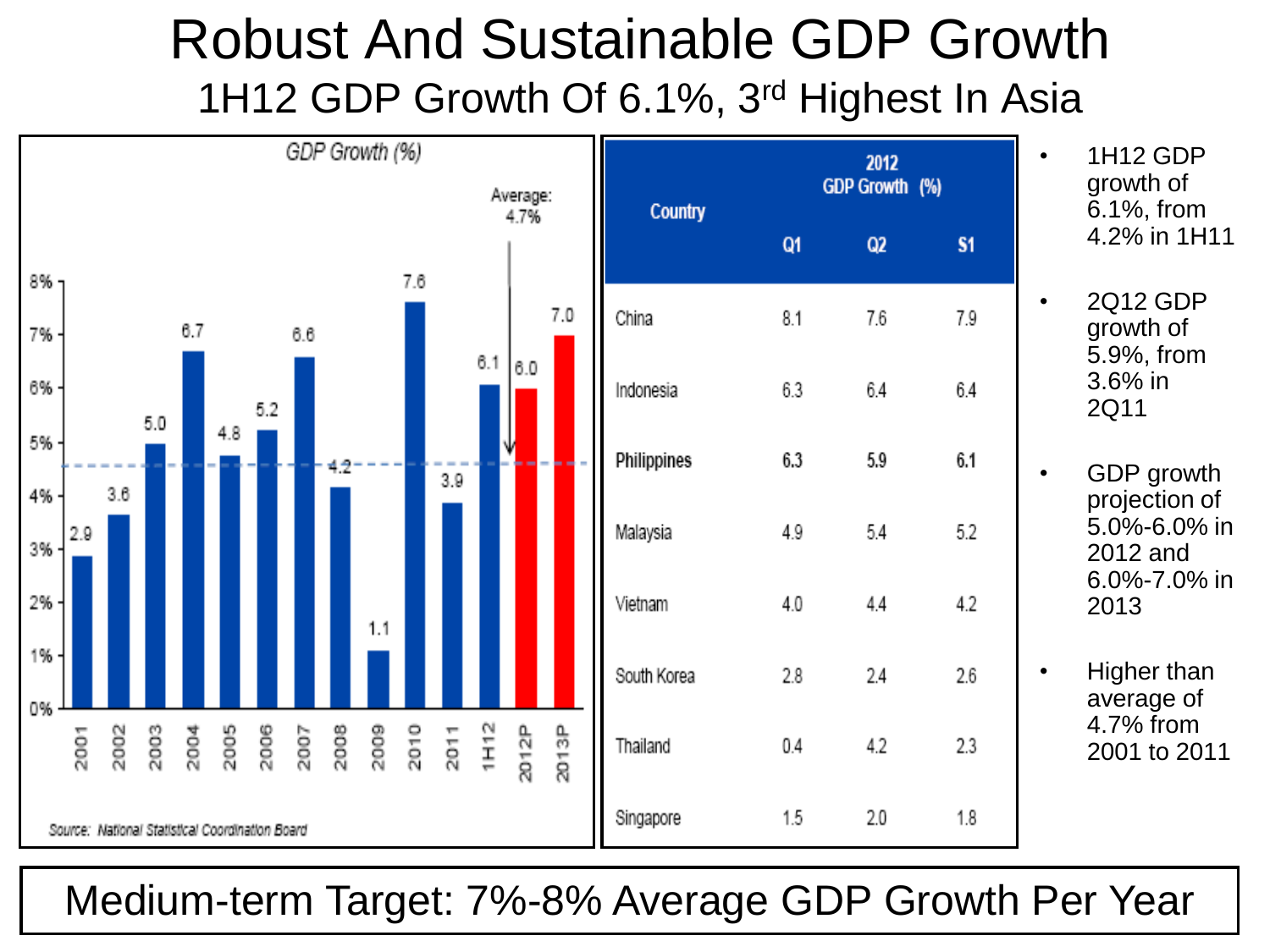# Robust And Sustainable GDP Growth 1H12 GDP Growth Of 6.1%, 3<sup>rd</sup> Highest In Asia



Medium-term Target: 7%-8% Average GDP Growth Per Year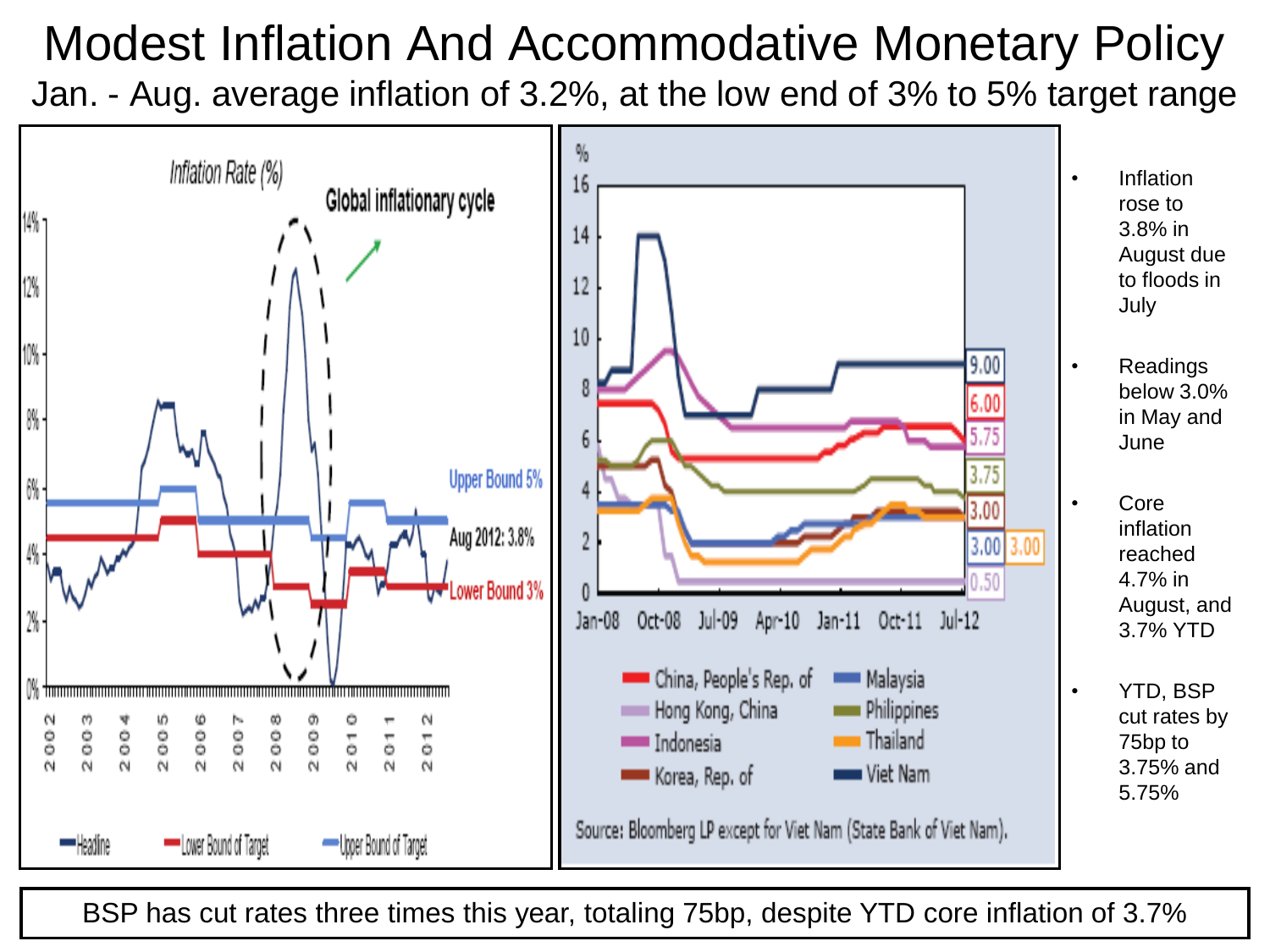#### Modest Inflation And Accommodative Monetary Policy Jan. - Aug. average inflation of 3.2%, at the low end of 3% to 5% target range



BSP has cut rates three times this year, totaling 75bp, despite YTD core inflation of 3.7%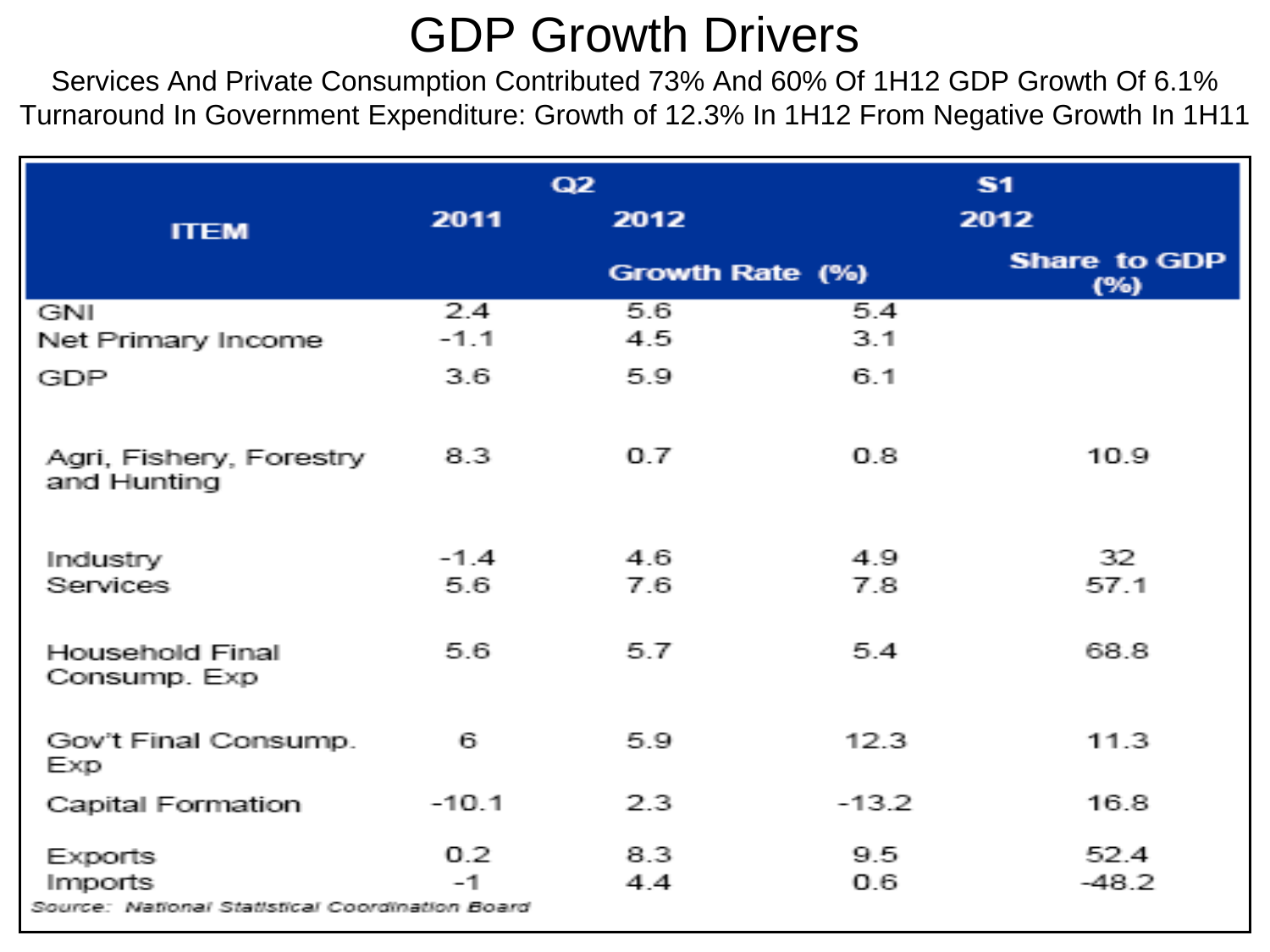### GDP Growth Drivers

Services And Private Consumption Contributed 73% And 60% Of 1H12 GDP Growth Of 6.1% Turnaround In Government Expenditure: Growth of 12.3% In 1H12 From Negative Growth In 1H11

|                                                            |                  | Q2              |            | S <sub>1</sub>             |
|------------------------------------------------------------|------------------|-----------------|------------|----------------------------|
| <b>ITEM</b>                                                | 2011             | 2012            |            | 2012                       |
|                                                            |                  | Growth Rate (%) |            | <b>Share to GDP</b><br>(%) |
| GNI<br>Net Primary Income                                  | 2.4<br>$-1.1$    | 5.6<br>4.5      | 5.4<br>3.1 |                            |
| <b>GDP</b>                                                 | 3.6              | 5.9             | 6.1        |                            |
| Agri, Fishery, Forestry<br>and Hunting                     | 8.3              | 0.7             | 0.8        | 10.9                       |
| Industry                                                   | $-1.4$           | 4.6             | 4.9        | 32.                        |
| Services                                                   | 5.6.             | 7.6             | 7.8        | 57.1                       |
| Household Final<br>Consump. Exp                            | 5.6              | 5.7             | 5.4        | 68.8                       |
| Gov't Final Consump.<br>Exp                                | 61.              | 5.9             | 12.3       | 11.3                       |
| Capital Formation                                          | $-10.1$          | 23              | $-13.2$    | 16.8                       |
| <b>Exports</b>                                             | 0.2 <sub>1</sub> | 8.3             | 9.5.       | 52.4                       |
| Imports<br>Source: National Statistical Coordination Board | $-1$             | 4.4             | 0.6        | $-48.2$                    |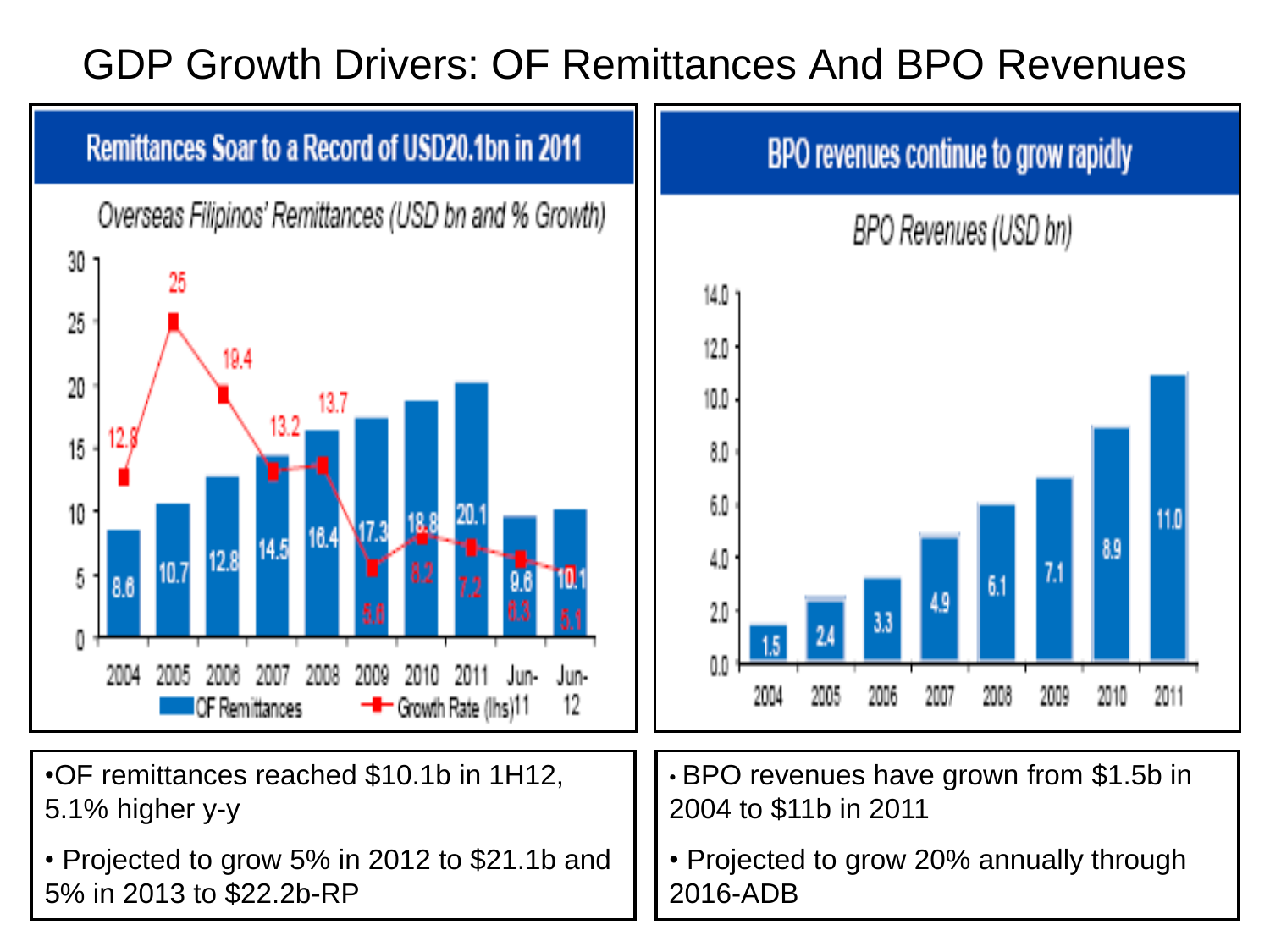#### GDP Growth Drivers: OF Remittances And BPO Revenues

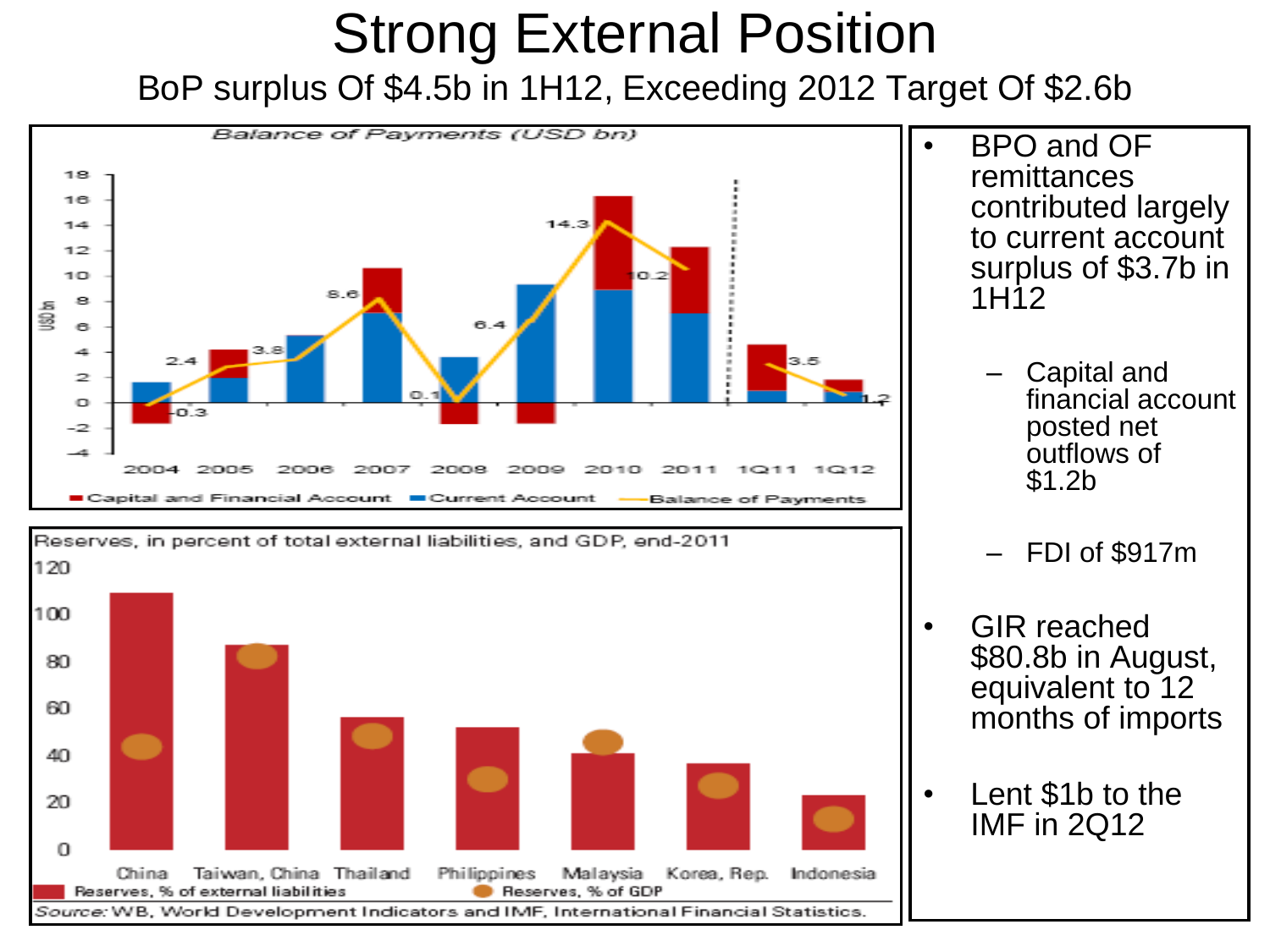#### Strong External Position BoP surplus Of \$4.5b in 1H12, Exceeding 2012 Target Of \$2.6b



Source: WB, World Development Indicators and IMF, International Financial Statistics

- BPO and OF remittances contributed largely to current account surplus of \$3.7b in 1H12
	- Capital and financial account posted net outflows of \$1.2b
	- FDI of \$917m
- GIR reached \$80.8b in August, equivalent to 12 months of imports
- Lent \$1b to the IMF in 2Q12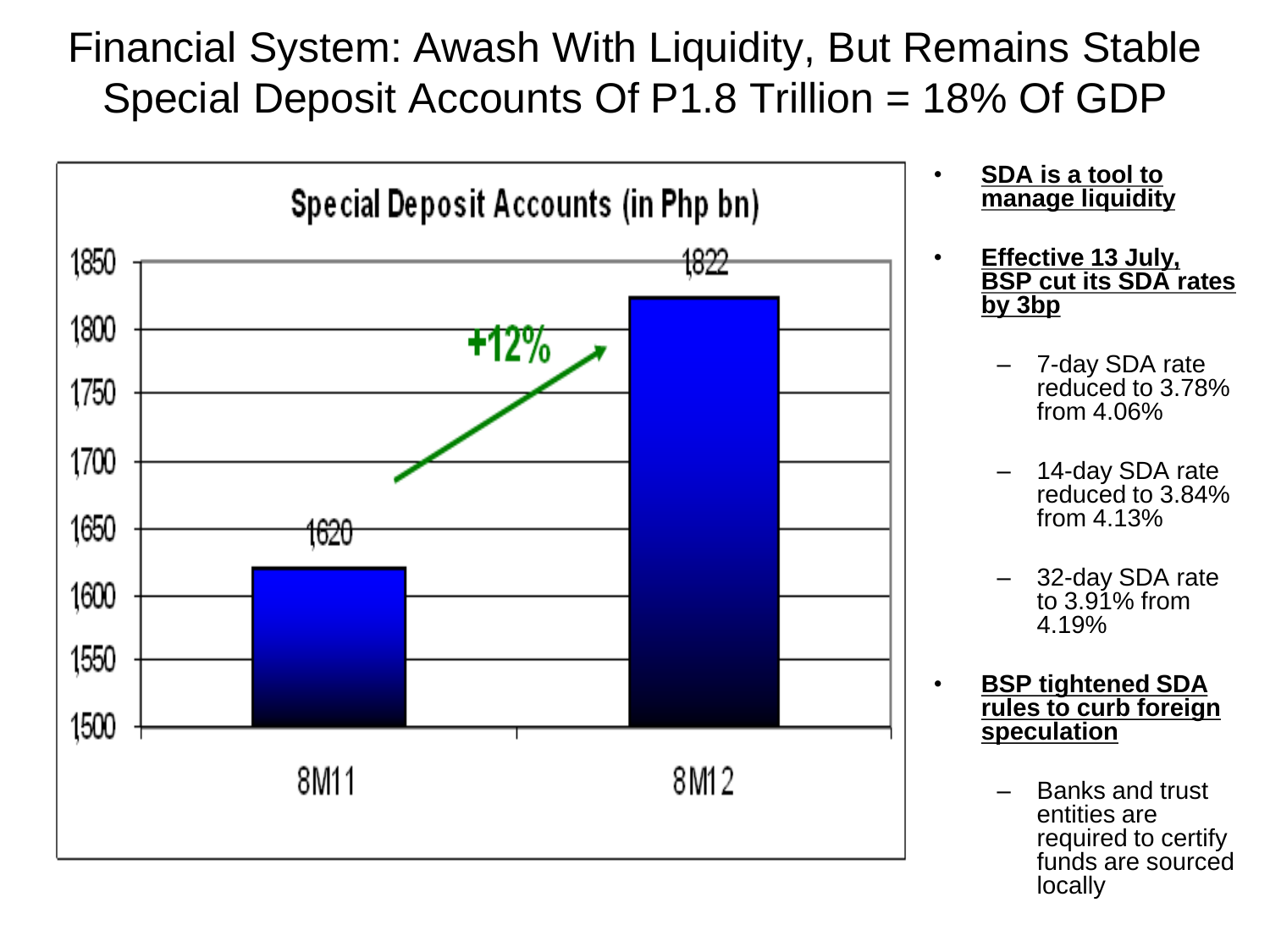Financial System: Awash With Liquidity, But Remains Stable Special Deposit Accounts Of P1.8 Trillion = 18% Of GDP



- **SDA is a tool to manage liquidity**
- **Effective 13 July, BSP cut its SDA rates by 3bp**
	- 7-day SDA rate reduced to 3.78% from 4.06%
	- 14-day SDA rate reduced to 3.84% from 4.13%
	- 32-day SDA rate to 3.91% from 4.19%
- **BSP tightened SDA rules to curb foreign speculation**
	- Banks and trust entities are required to certify funds are sourced locally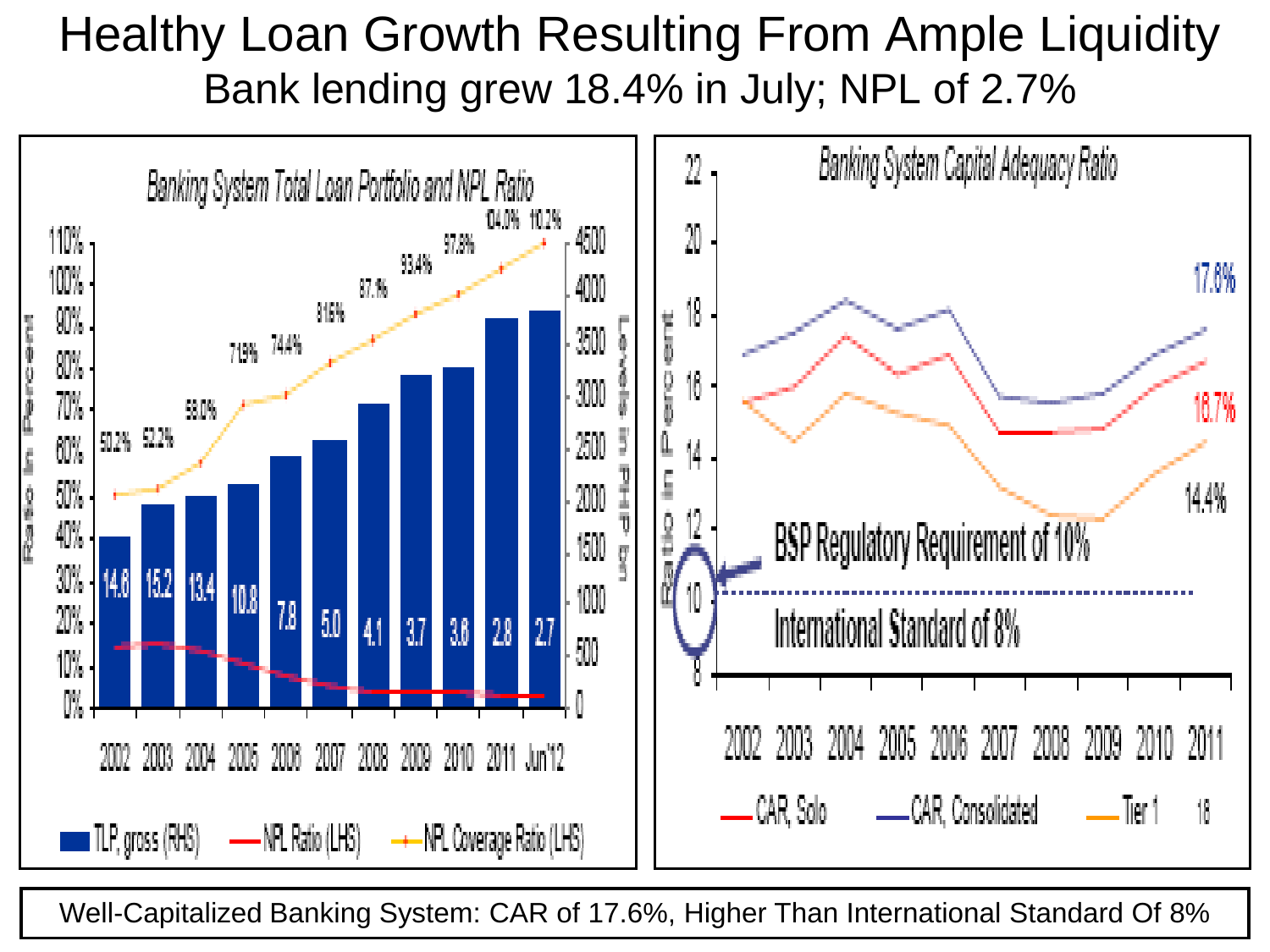#### Healthy Loan Growth Resulting From Ample Liquidity Bank lending grew 18.4% in July; NPL of 2.7%



Well-Capitalized Banking System: CAR of 17.6%, Higher Than International Standard Of 8%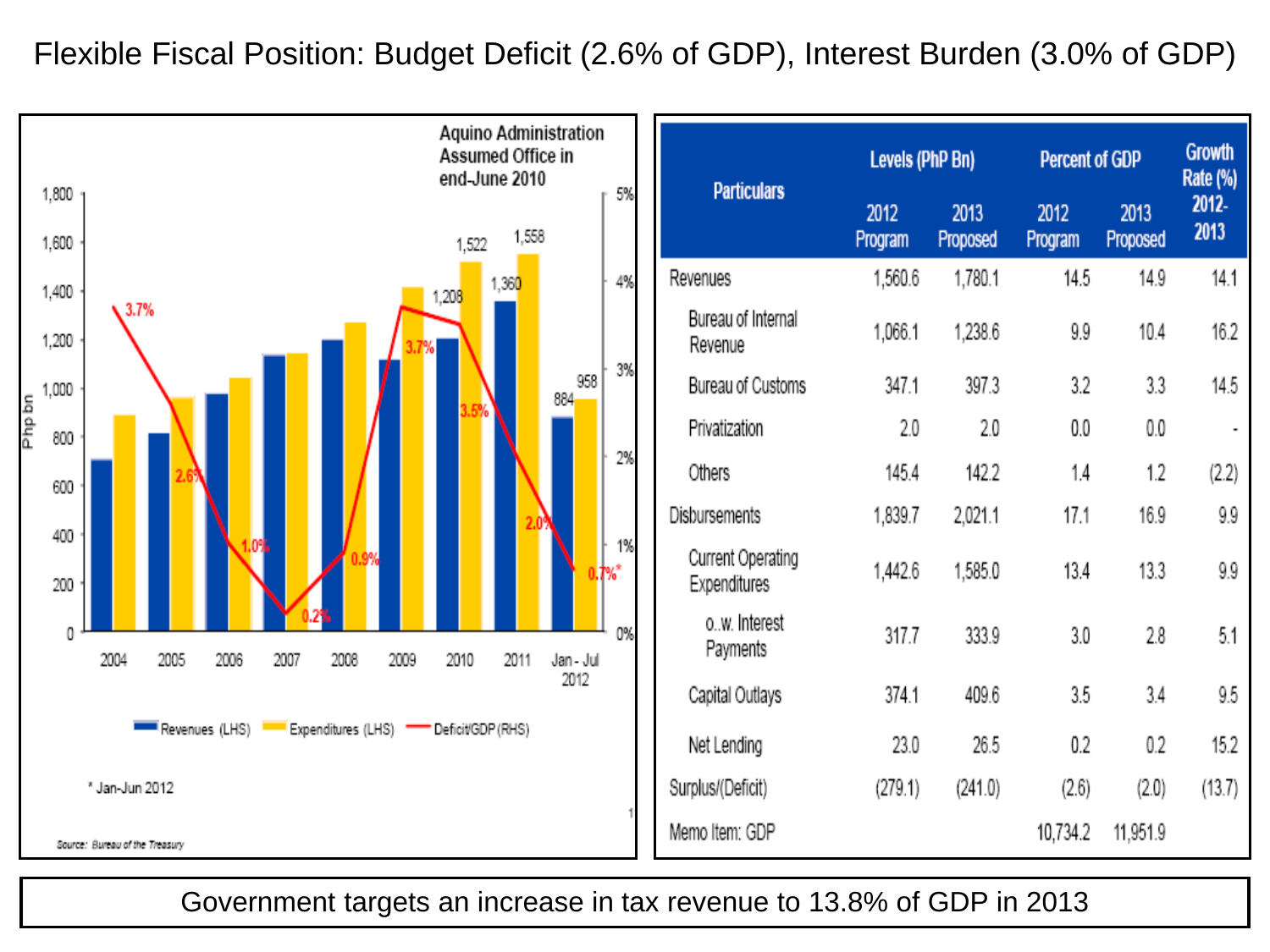Flexible Fiscal Position: Budget Deficit (2.6% of GDP), Interest Burden (3.0% of GDP)



|                                   | Levels (PhP Bn) |                  | <b>Percent of GDP</b> |                  | <b>Growth</b><br>Rate (%) |
|-----------------------------------|-----------------|------------------|-----------------------|------------------|---------------------------|
| <b>Particulars</b>                | 2012<br>Program | 2013<br>Proposed | 2012<br>Program       | 2013<br>Proposed | 2012-<br>2013             |
| Revenues                          | 1,560.6         | 1,780.1          | 14.5                  | 14.9             | 14.1                      |
| Bureau of Internal<br>Revenue     | 1,066.1         | 1,238.6          | 9.9                   | 10.4             | 16.2                      |
| Bureau of Customs                 | 347.1           | 397.3            | 3.2                   | 3.3              | 14.5                      |
| Privatization                     | 2.0             | 2.0              | 0.0                   | 0.0              |                           |
| Others                            | 145.4           | 142.2            | 1.4                   | 1.2              | (2.2)                     |
| Disbursements                     | 1,839.7         | 2,021.1          | 17.1                  | 16.9             | 9.9                       |
| Current Operating<br>Expenditures | 1,442.6         | 1,585.0          | 13.4                  | 13.3             | 9.9                       |
| ow. Interest<br>Payments          | 317.7           | 333.9            | 3.0                   | 2.8              | 5.1                       |
| Capital Outlays                   | 374.1           | 409.6            | 3.5                   | 3.4              | 9.5                       |
| Net Lending                       | 23.0            | 26.5             | 0.2                   | 0.2              | 15.2                      |
| Surplus/(Deficit)                 | (279.1)         | (241.0)          | (2.6)                 | (2.0)            | (13.7)                    |
| Memo Item: GDP                    |                 |                  | 10,734.2              | 11,951.9         |                           |

Government targets an increase in tax revenue to 13.8% of GDP in 2013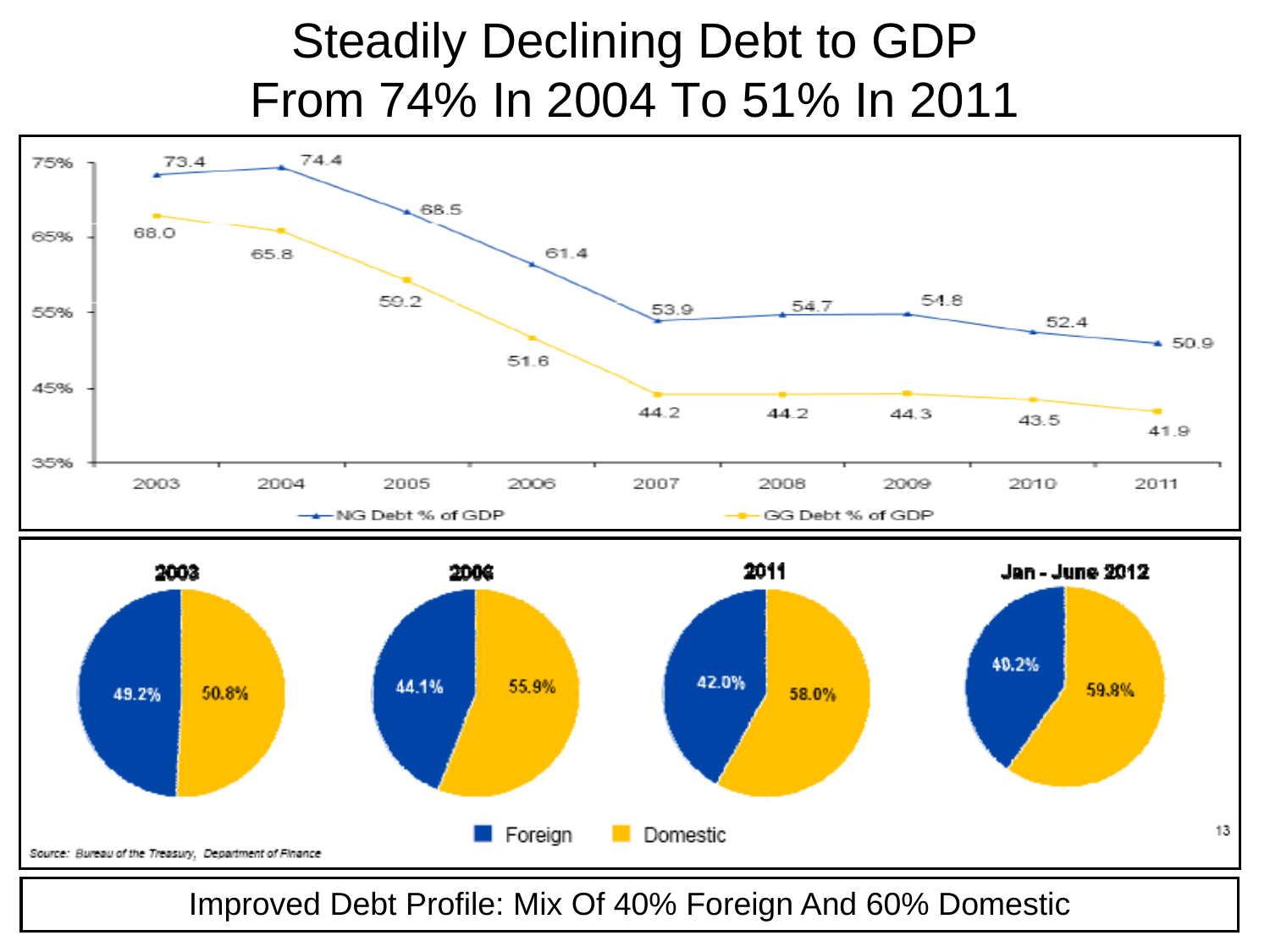#### Steadily Declining Debt to GDP From 74% In 2004 To 51% In 2011





Improved Debt Profile: Mix Of 40% Foreign And 60% Domestic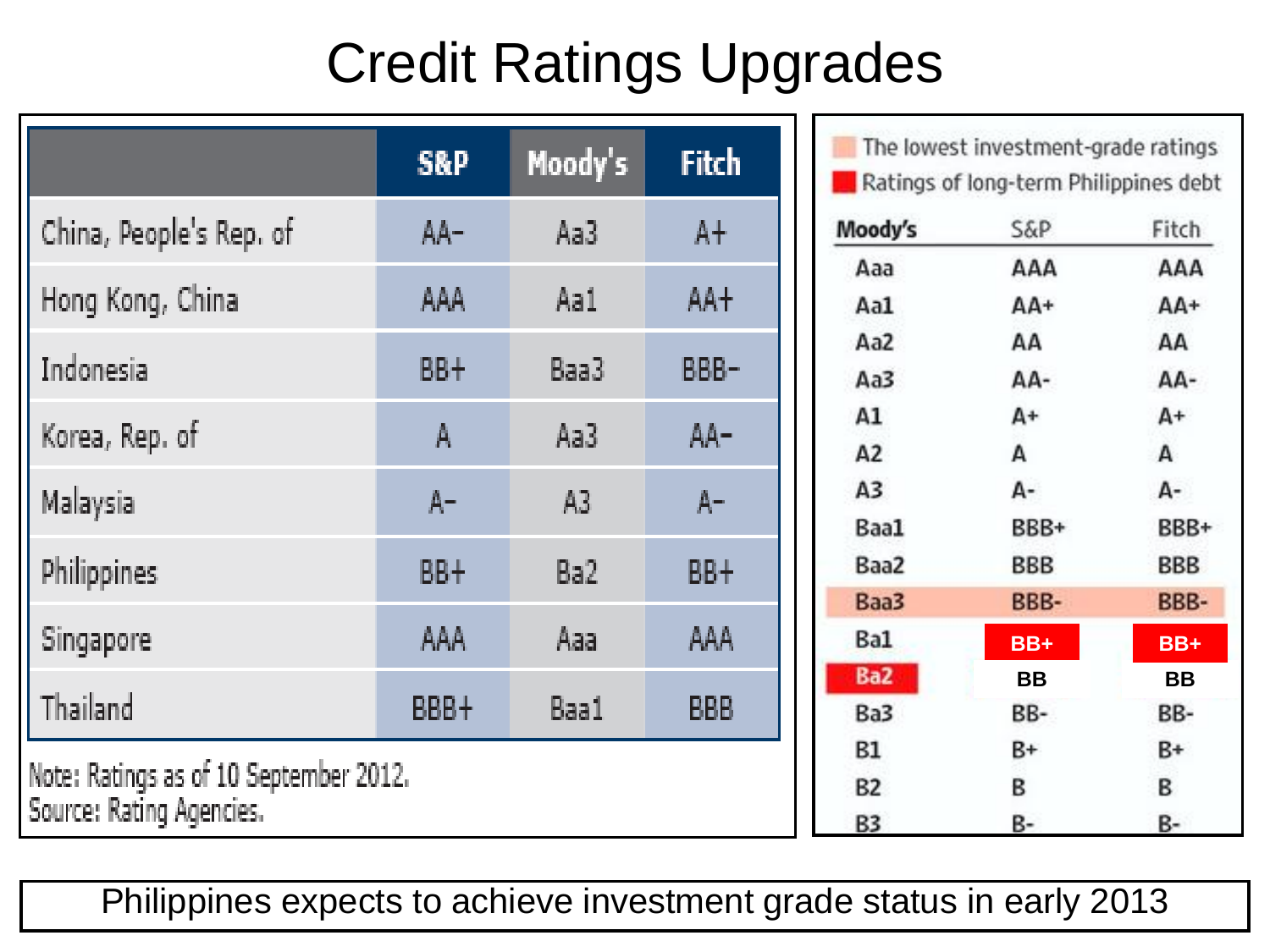# Credit Ratings Upgrades

|                                                                    | <b>S&amp;P</b> | Moody's        | Fitch      |  |
|--------------------------------------------------------------------|----------------|----------------|------------|--|
| China, People's Rep. of                                            | AA-            | Aa3            | $A+$       |  |
| Hong Kong, China                                                   | AAA            | Aa1            | AA+        |  |
| Indonesia                                                          | BB+            | Baa3           | BBB-       |  |
| Korea, Rep. of                                                     | A              | Aa3            | AA-        |  |
| Malaysia                                                           | $A-$           | A <sub>3</sub> | $A -$      |  |
| Philippines                                                        | BB+            | Ba2            | BB+        |  |
| Singapore                                                          | AAA            | Aaa            | AAA        |  |
| Thailand                                                           | BBB+           | Baa1           | <b>BBB</b> |  |
| Note: Ratings as of 10 September 2012.<br>Source: Rating Agencies. |                |                |            |  |

The lowest investment-grade ratings Ratings of long-term Philippines debt

| Moody's | <b>S&amp;P</b> | Fitch |
|---------|----------------|-------|
| Aaa     | AAA            | AAA   |
| Aa1     | AA+            | AA+   |
| Aa2     | АΑ             | AA    |
| Aa3     | AA-            | AA-   |
| A1      | A+             | A+    |
| A2      | А              | А     |
| А3      | А-             | А-    |
| Baa1    | BBB+           | BBB+  |
| Baa2    | BBB            | BBB   |
| Baa3    | BBB-           | BBB-  |
| Ba1     | $BB+$          | $BB+$ |
| Ba2     | ВB             | BВ    |
| Ba3     | BB-            | BB-   |
| B1      | B+             | В÷    |
| B2      | В              | в     |
| B3      | B-             | B-    |

Philippines expects to achieve investment grade status in early 2013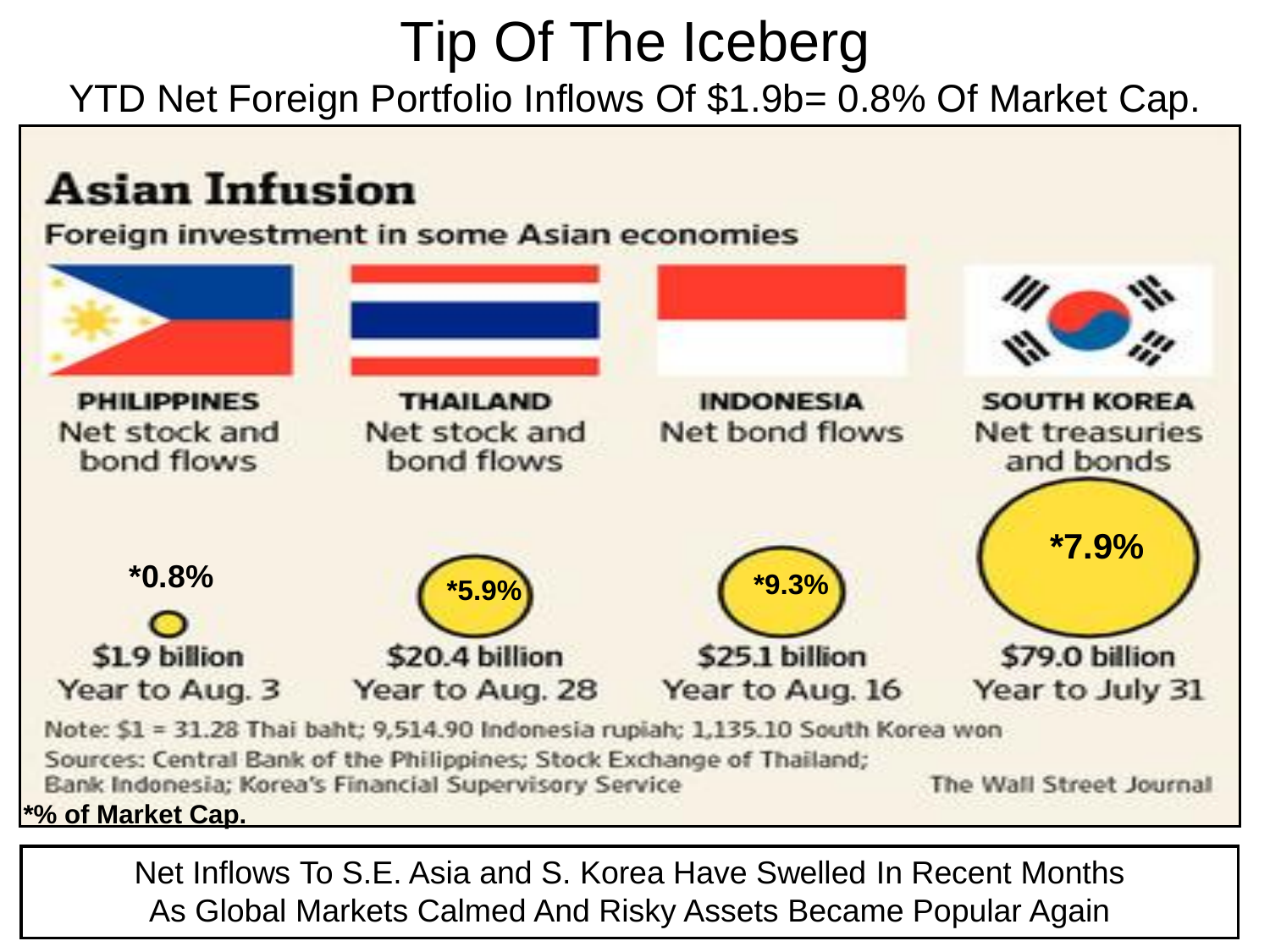# Tip Of The Iceberg YTD Net Foreign Portfolio Inflows Of \$1.9b= 0.8% Of Market Cap.



Net Inflows To S.E. Asia and S. Korea Have Swelled In Recent Months As Global Markets Calmed And Risky Assets Became Popular Again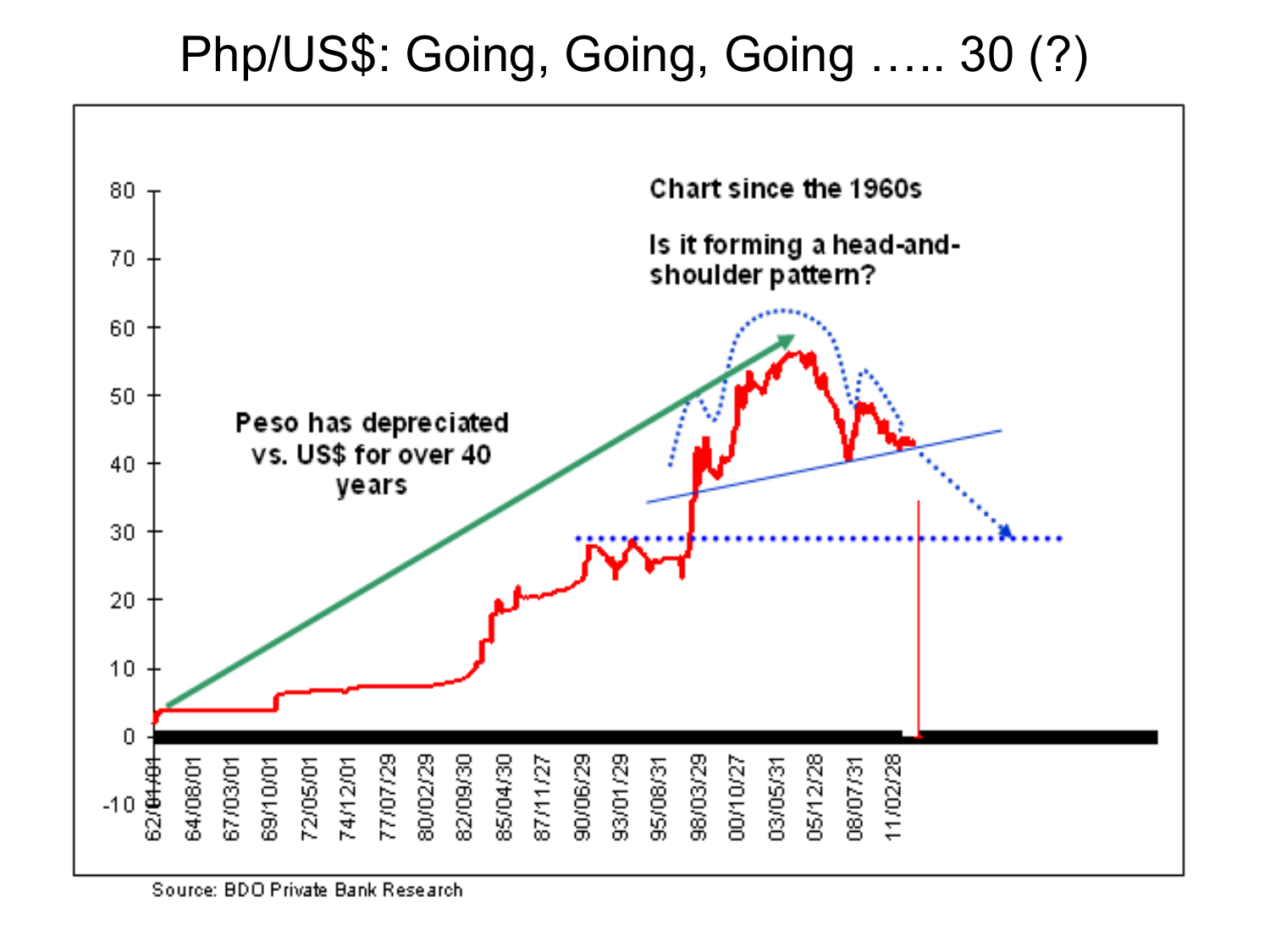### Php/US\$: Going, Going, Going ..... 30 (?)



Source: BDO Private Bank Research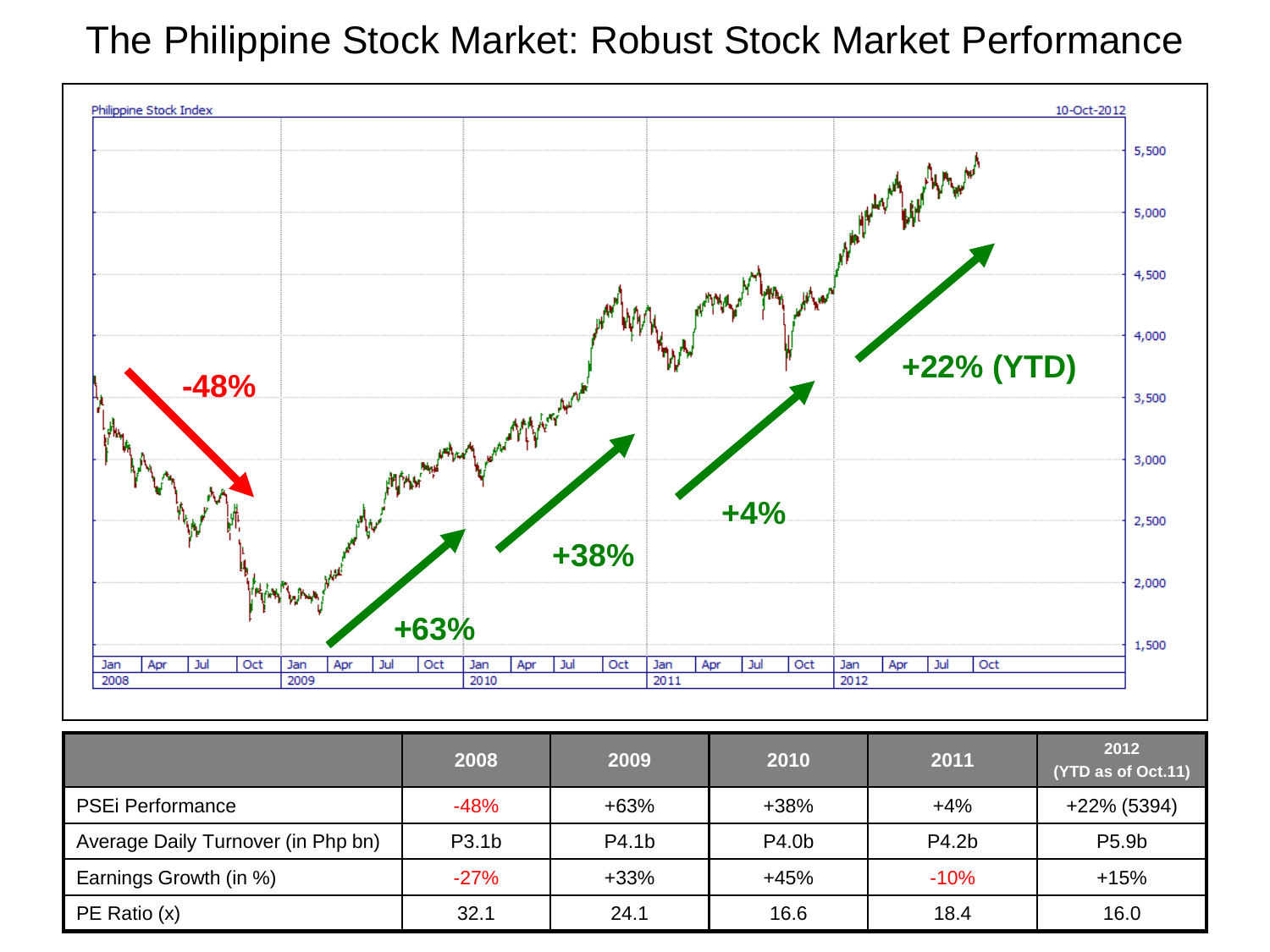#### The Philippine Stock Market: Robust Stock Market Performance



|                                    | 2008               | 2009   | 2010   | 2011   | 2012<br>(YTD as of Oct.11) |
|------------------------------------|--------------------|--------|--------|--------|----------------------------|
| <b>PSEi Performance</b>            | $-48%$             | $+63%$ | $+38%$ | $+4%$  | +22% (5394)                |
| Average Daily Turnover (in Php bn) | P <sub>3.1</sub> b | P4.1b  | P4.0b  | P4.2b  | P5.9b                      |
| Earnings Growth (in %)             | $-27%$             | $+33%$ | $+45%$ | $-10%$ | $+15%$                     |
| PE Ratio (x)                       | 32.1               | 24.1   | 16.6   | 18.4   | 16.0                       |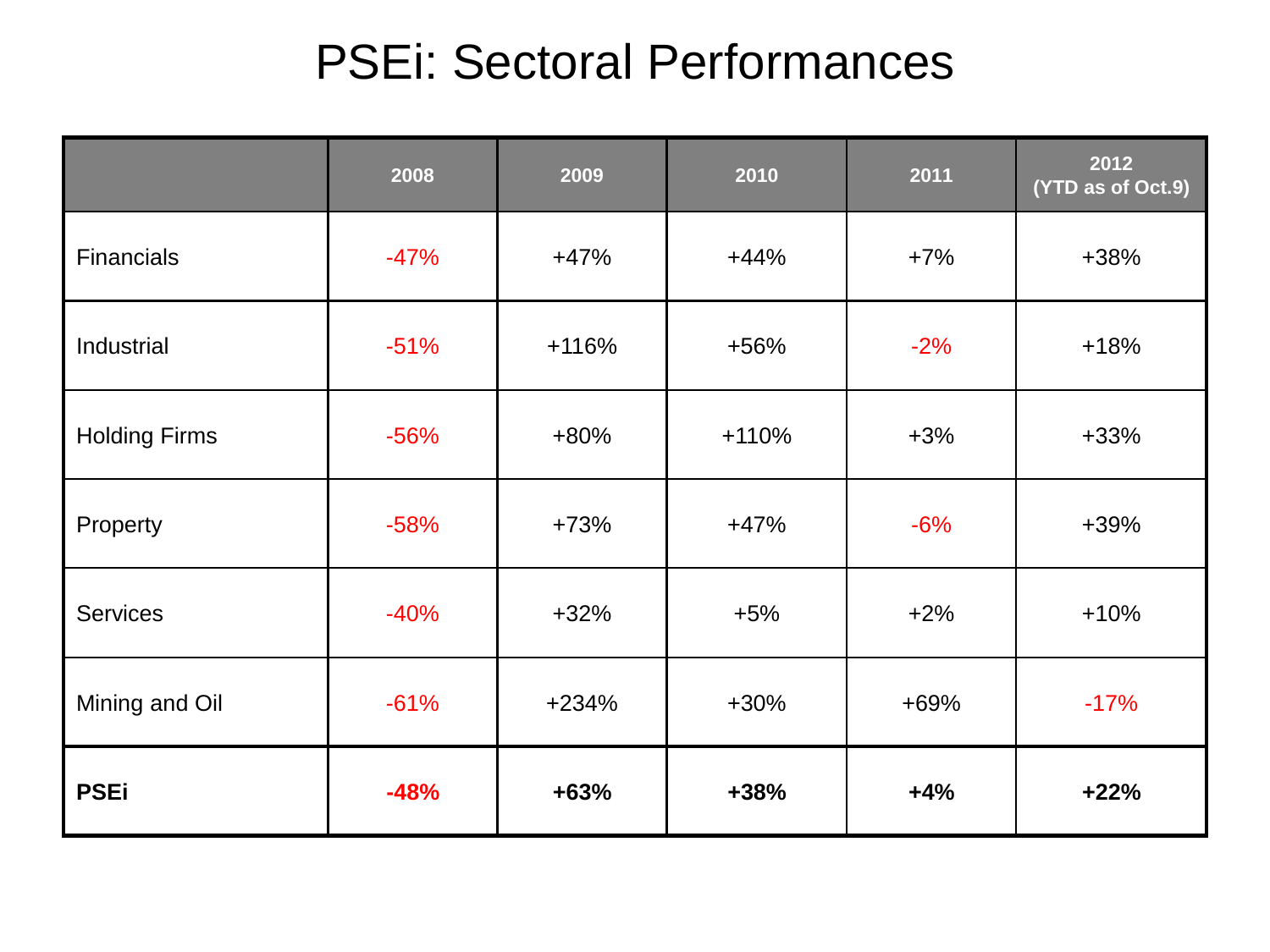## PSEi: Sectoral Performances

|                      | 2008   | 2009    | 2010    | 2011  | 2012<br>(YTD as of Oct.9) |
|----------------------|--------|---------|---------|-------|---------------------------|
| <b>Financials</b>    | $-47%$ | $+47%$  | $+44%$  | $+7%$ | $+38%$                    |
| Industrial           | $-51%$ | $+116%$ | $+56%$  | $-2%$ | $+18%$                    |
| <b>Holding Firms</b> | $-56%$ | +80%    | $+110%$ | $+3%$ | $+33%$                    |
| Property             | $-58%$ | $+73%$  | $+47%$  | $-6%$ | $+39%$                    |
| <b>Services</b>      | $-40%$ | $+32%$  | $+5%$   | $+2%$ | $+10%$                    |
| Mining and Oil       | $-61%$ | $+234%$ | $+30%$  | +69%  | $-17%$                    |
| <b>PSEi</b>          | $-48%$ | $+63%$  | $+38%$  | $+4%$ | $+22%$                    |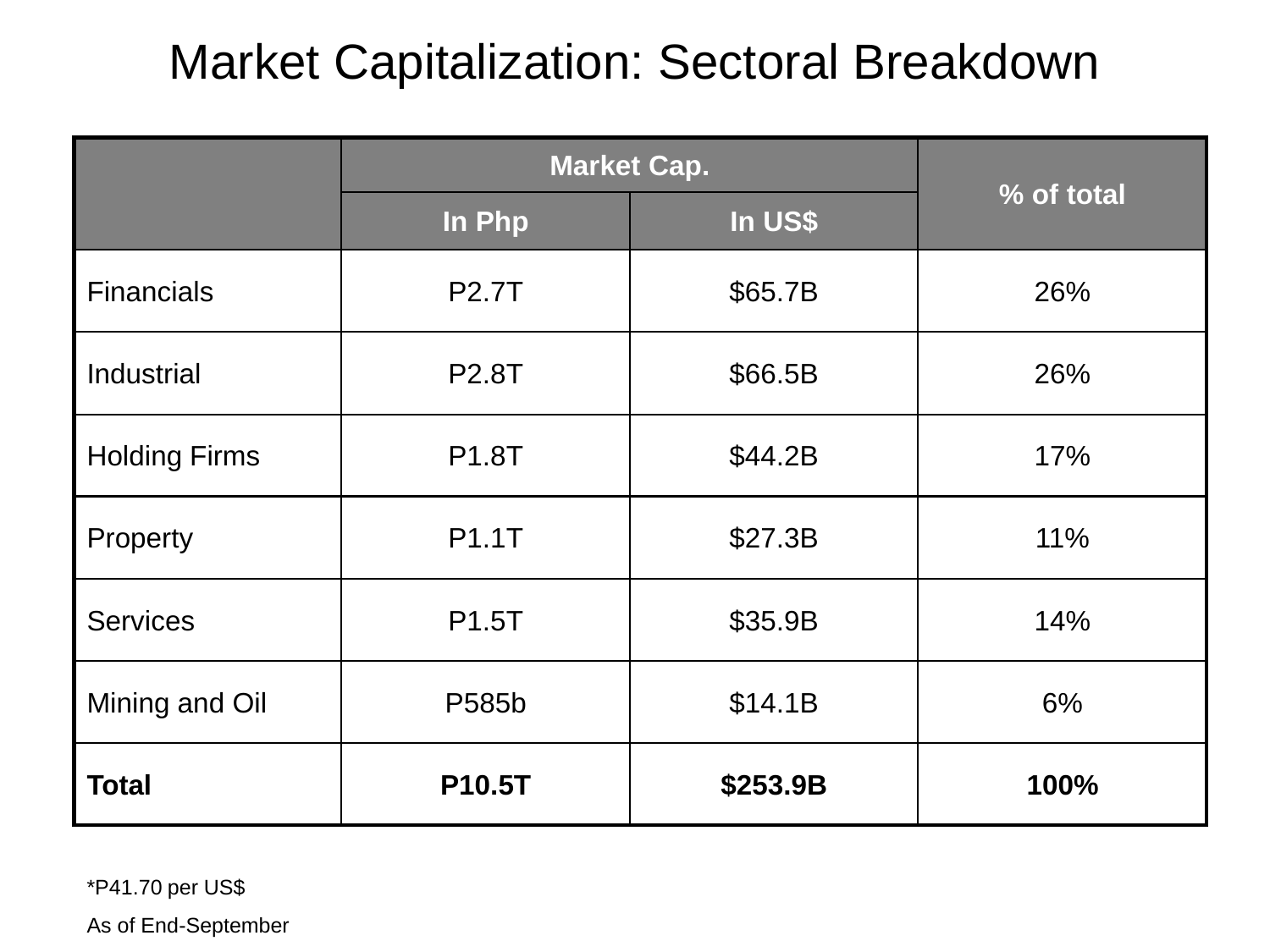#### Market Capitalization: Sectoral Breakdown

|                      |              | <b>Market Cap.</b> |            |
|----------------------|--------------|--------------------|------------|
|                      | In Php       | In US\$            | % of total |
| <b>Financials</b>    | <b>P2.7T</b> | \$65.7B            | 26%        |
| Industrial           | <b>P2.8T</b> | \$66.5B            | 26%        |
| <b>Holding Firms</b> | <b>P1.8T</b> | \$44.2B            | 17%        |
| Property             | <b>P1.1T</b> | \$27.3B            | 11%        |
| <b>Services</b>      | P1.5T        | \$35.9B            | 14%        |
| Mining and Oil       | P585b        | \$14.1B            | 6%         |
| <b>Total</b>         | P10.5T       | \$253.9B           | 100%       |

\*P41.70 per US\$

As of End-September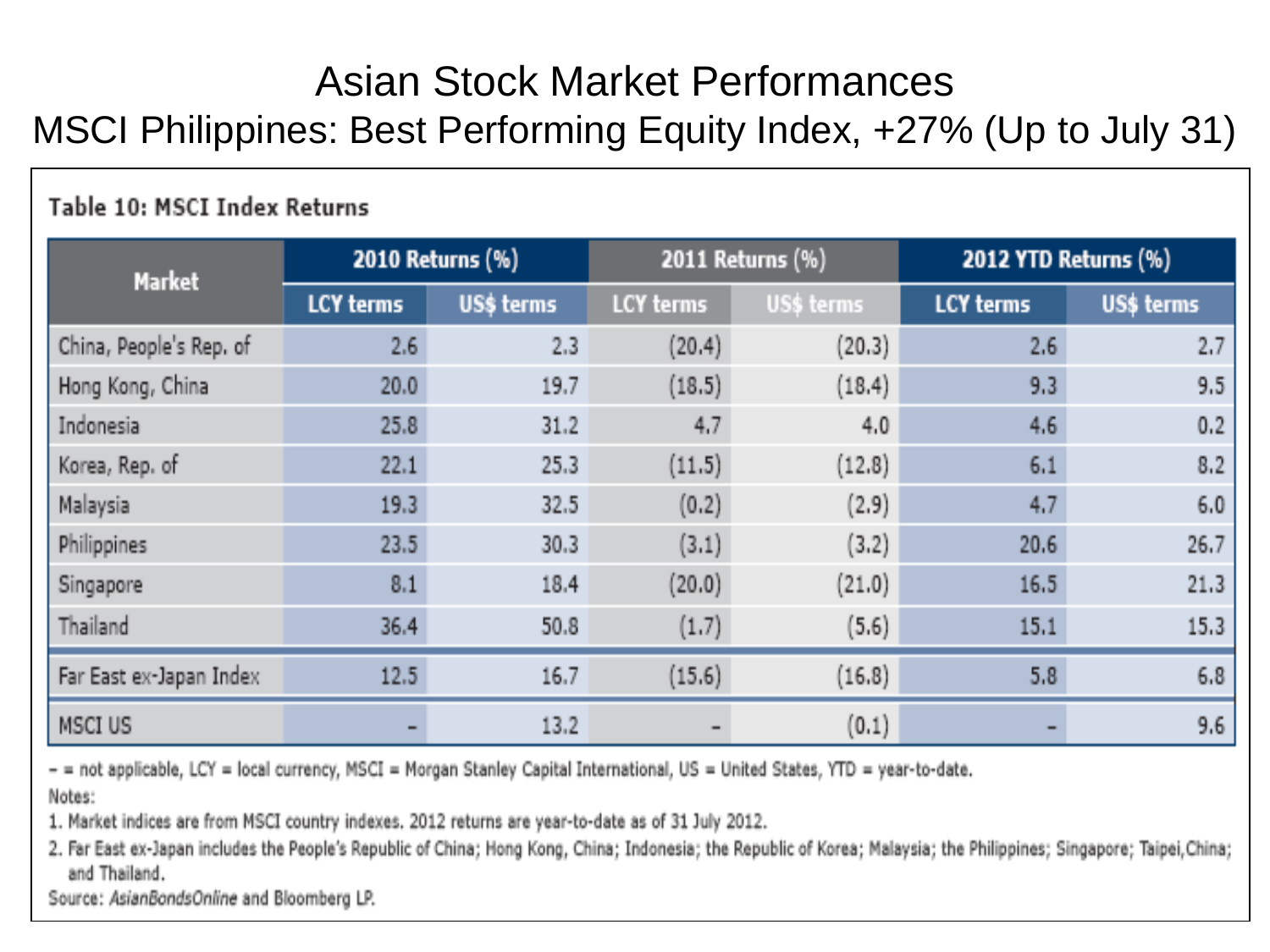#### **Asian Stock Market Performances** MSCI Philippines: Best Performing Equity Index, +27% (Up to July 31)

#### Table 10: MSCI Index Returns

| <b>Market</b>           |                  | 2010 Returns (%) | 2011 Returns (%) |            | 2012 YTD Returns (%) |            |  |
|-------------------------|------------------|------------------|------------------|------------|----------------------|------------|--|
|                         | <b>LCY terms</b> | US\$ terms       | LCY terms        | US\$ terms | <b>LCY terms</b>     | US\$ terms |  |
| China, People's Rep. of | 2.6              | 2.3              | (20.4)           | (20.3)     | 2.6                  | 2.7        |  |
| Hong Kong, China        | 20.0             | 19.7             | (18.5)           | (18.4)     | 9.3                  | 9.5        |  |
| Indonesia               | 25.8             | 31.2             | 4.7              | 4.0.       | 4.6.                 | 0.2        |  |
| Korea, Rep. of          | 22.1             | 25.3             | (11.5)           | (12.8)     | 6.1                  | 8.2        |  |
| Malaysia                | 19.3             | 32.5             | (0.2)            | (2.9)      | 4.7                  | 6,0        |  |
| Philippines             | 23.5             | 30.3             | (3.1)            | (3.2)      | 20.6                 | 26.7       |  |
| Singapore               | 8.1              | 18.4             | (20.0)           | (21.0)     | 16.5                 | 21.3       |  |
| Thailand                | 36.4             | 50.8             | (1.7)            | (5.6)      | 15.1                 | 15.3       |  |
| Far East ex-Japan Index | 12.5             | 16.7             | (15.6)           | (16.8)     | 5.8                  | 6,8        |  |
| MSCI US                 |                  | 13.2             |                  | (0.1)      |                      | 9.6        |  |

- = not applicable, LCY = local currency, MSCI = Morgan Stanley Capital International, US = United States, YTD = year-to-date.

Notes:

1. Market indices are from MSCI country indexes, 2012 returns are year-to-date as of 31 July 2012.

2. Far East ex-Japan includes the People's Republic of China; Hong Kong, China; Indonesia; the Republic of Korea; Malaysia; the Philippines; Singapore; Taipei, China; and Thailand.

Source: AsianBondsOnline and Bloomberg LP.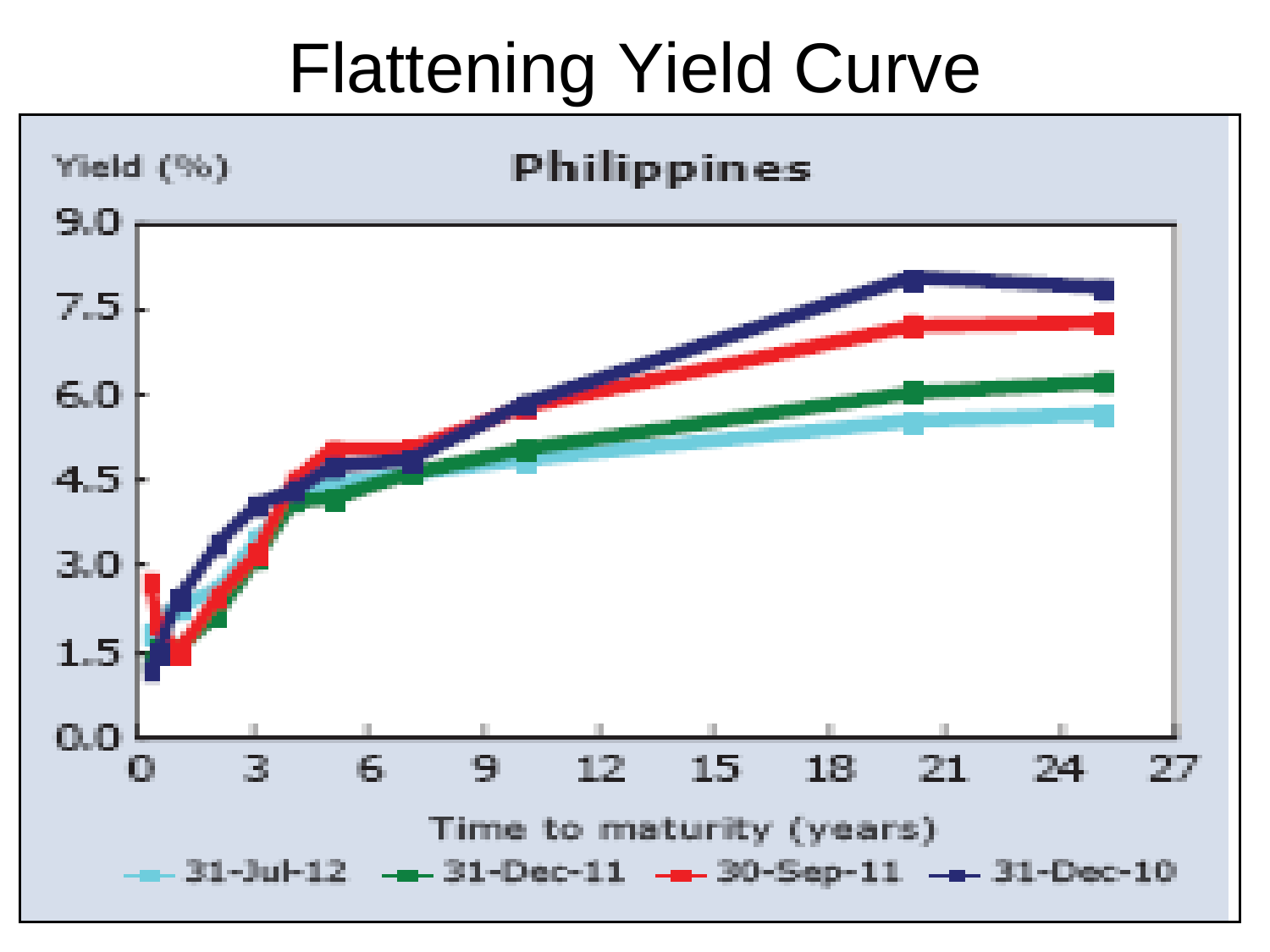# Flattening Yield Curve

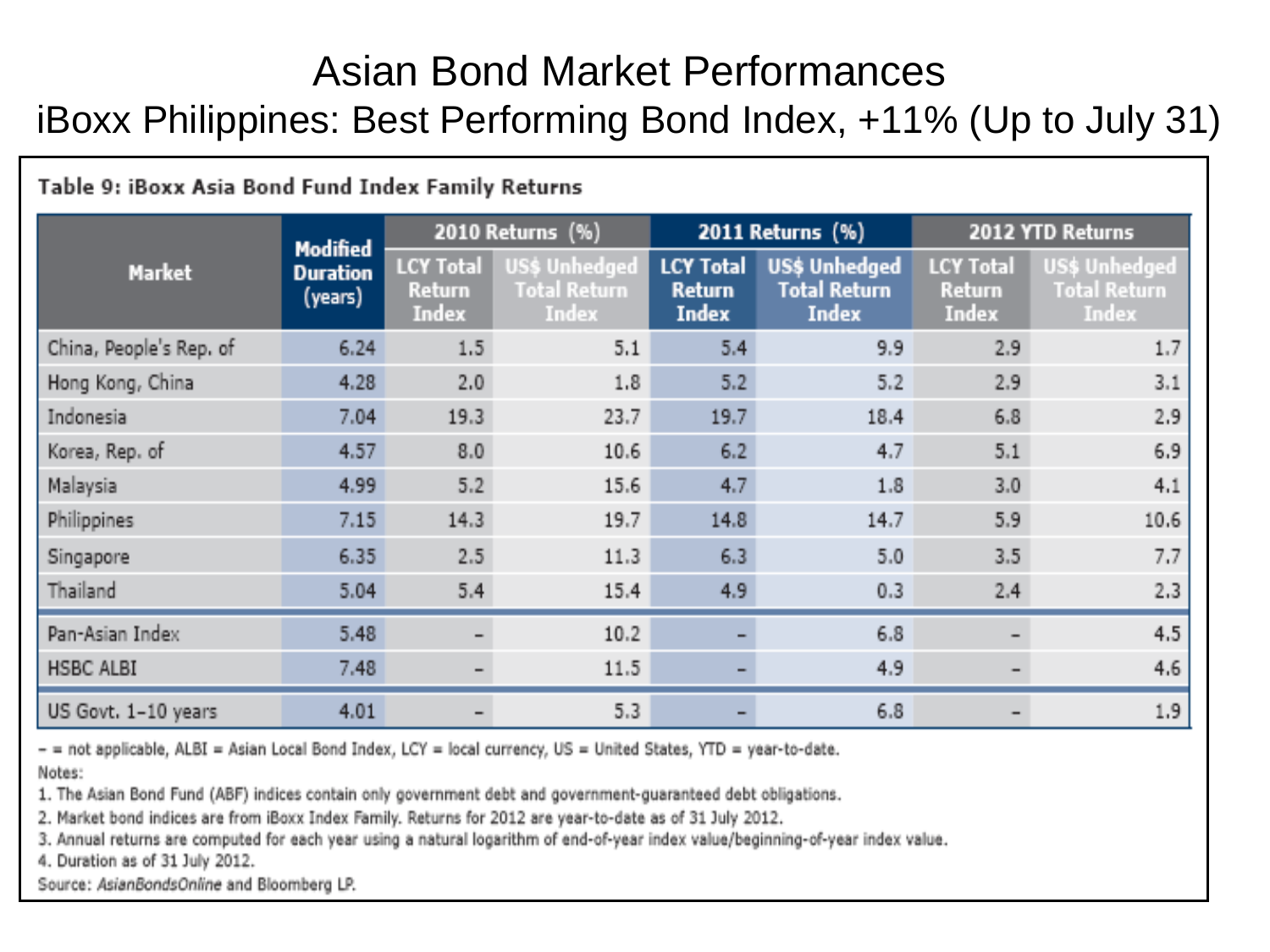#### Asian Bond Market Performances iBoxx Philippines: Best Performing Bond Index, +11% (Up to July 31)

#### Table 9: iBoxx Asia Bond Fund Index Family Returns 2010 Returns (%) 2011 Returns (%) 2012 YTD Returns Modified **US\$ Unhedged LCY Total US\$ Unhedged LCY Total LCY Total** US\$ Unhedged **Market Duration Total Return Total Return Total Return Return Return Return** (years) Index Index **Index Index Index** Index China, People's Rep. of  $5.4$  $6.24$  $1.5$  $5.1$ 9.9 2.9  $1.7$ 4.28  $2.0$  $5.2$ Hong Kong, China  $1.8$  $5.2$ 2.9  $3.1$ Indonesia  $7.04$  $19.3$  $23.7$ 19.7  $18.4$  $6.8$ 2.9 Korea, Rep. of 4.57  $8.0$  $10.6$  $6.2$  $4.7$  $5.1$ 6.9  $4.7$ Malavsia 4.99  $5.2$ 15.6  $1.8$  $3.0<sub>1</sub>$  $4.1$ Philippines  $14.3$ 14.8 5.9  $7.15$  $19.7$  $14.7$ 10.6 Singapore 6.35  $2.5$  $11.3$  $6.3$  $5.0$  $3.5 -$ 7.7 Thailand 4.9 5.04 5.4  $15.4$  $0.3$ 2.4  $2.3$ Pan-Asian Index 5.48  $10.2$ 6.8  $4.5$  $\sim$ **HSBC ALBI** 7.48  $11.5$ 4.9 4.6  $\equiv$ US Govt. 1-10 years 4.01  $5.3$  $6.8$  $1.9<sub>1</sub>$

- = not applicable, ALBI = Asian Local Bond Index, LCY = local currency, US = United States, YTD = year-to-date.

Notes:

1. The Asian Bond Fund (ABF) indices contain only government debt and government-guaranteed debt obligations.

2. Market bond indices are from iBoxx Index Family. Returns for 2012 are year-to-date as of 31 July 2012.

3. Annual returns are computed for each year using a natural logarithm of end-of-year index value/beginning-of-year index value.

4. Duration as of 31 July 2012.

Source: AsianBondsOnline and Bloomberg LP.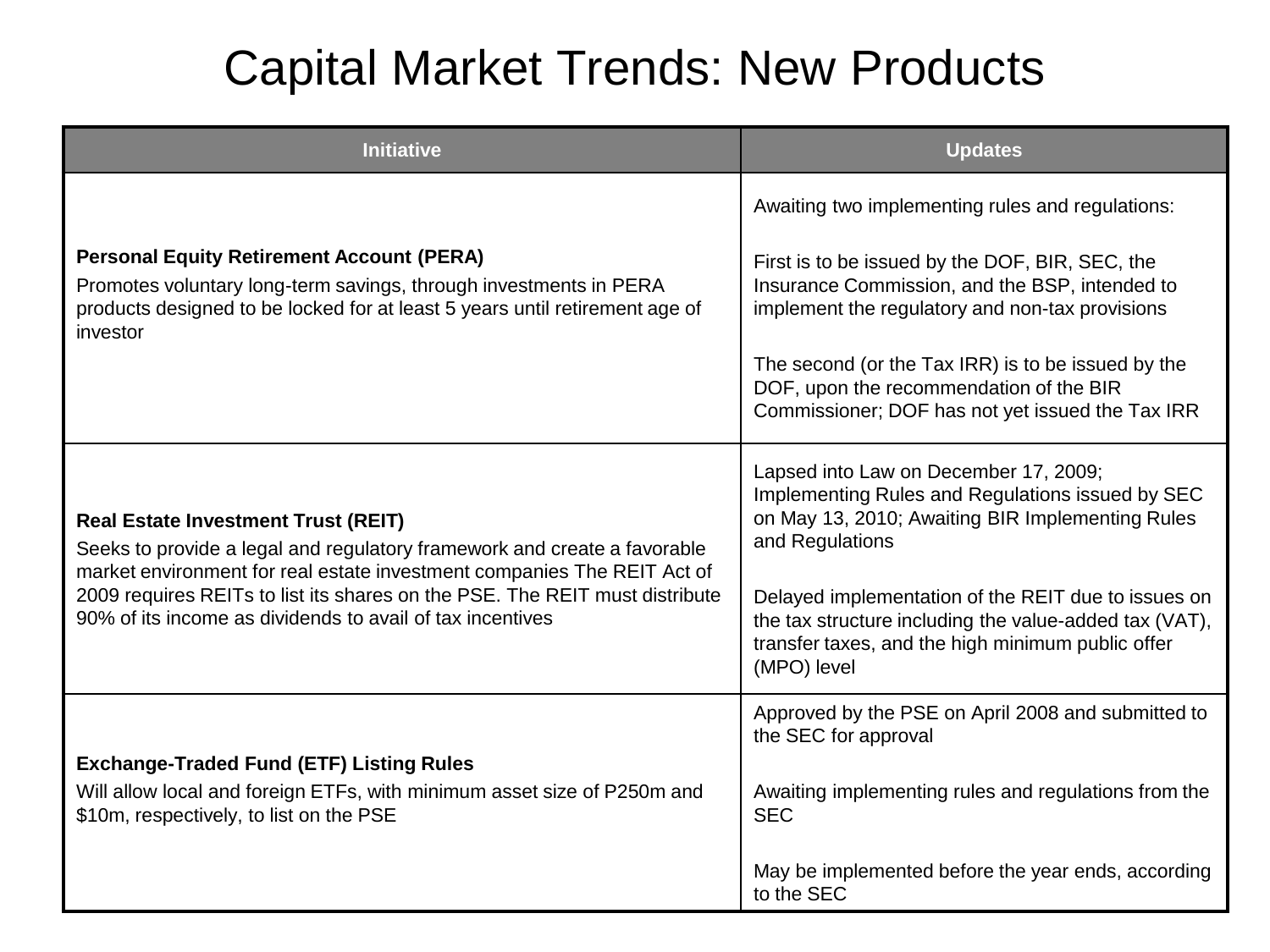## Capital Market Trends: New Products

| <b>Initiative</b>                                                                                                                                                                                                   | <b>Updates</b>                                                                                                                                                                    |
|---------------------------------------------------------------------------------------------------------------------------------------------------------------------------------------------------------------------|-----------------------------------------------------------------------------------------------------------------------------------------------------------------------------------|
|                                                                                                                                                                                                                     | Awaiting two implementing rules and regulations:                                                                                                                                  |
| <b>Personal Equity Retirement Account (PERA)</b><br>Promotes voluntary long-term savings, through investments in PERA<br>products designed to be locked for at least 5 years until retirement age of<br>investor    | First is to be issued by the DOF, BIR, SEC, the<br>Insurance Commission, and the BSP, intended to<br>implement the regulatory and non-tax provisions                              |
|                                                                                                                                                                                                                     | The second (or the Tax IRR) is to be issued by the<br>DOF, upon the recommendation of the BIR<br>Commissioner; DOF has not yet issued the Tax IRR                                 |
| <b>Real Estate Investment Trust (REIT)</b><br>Seeks to provide a legal and regulatory framework and create a favorable                                                                                              | Lapsed into Law on December 17, 2009;<br>Implementing Rules and Regulations issued by SEC<br>on May 13, 2010; Awaiting BIR Implementing Rules<br>and Regulations                  |
| market environment for real estate investment companies The REIT Act of<br>2009 requires REITs to list its shares on the PSE. The REIT must distribute<br>90% of its income as dividends to avail of tax incentives | Delayed implementation of the REIT due to issues on<br>the tax structure including the value-added tax (VAT),<br>transfer taxes, and the high minimum public offer<br>(MPO) level |
|                                                                                                                                                                                                                     | Approved by the PSE on April 2008 and submitted to<br>the SEC for approval                                                                                                        |
| <b>Exchange-Traded Fund (ETF) Listing Rules</b><br>Will allow local and foreign ETFs, with minimum asset size of P250m and<br>\$10m, respectively, to list on the PSE                                               | Awaiting implementing rules and regulations from the<br><b>SEC</b>                                                                                                                |
|                                                                                                                                                                                                                     | May be implemented before the year ends, according<br>to the SEC                                                                                                                  |